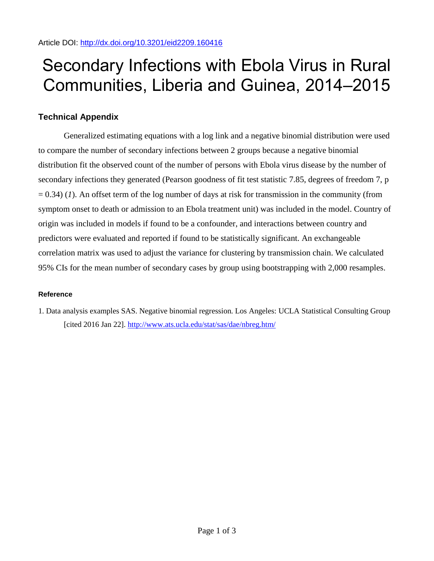## Secondary Infections with Ebola Virus in Rural Communities, Liberia and Guinea, 2014–2015

## **Technical Appendix**

Generalized estimating equations with a log link and a negative binomial distribution were used to compare the number of secondary infections between 2 groups because a negative binomial distribution fit the observed count of the number of persons with Ebola virus disease by the number of secondary infections they generated (Pearson goodness of fit test statistic 7.85, degrees of freedom 7, p  $= 0.34$ ) (*1*). An offset term of the log number of days at risk for transmission in the community (from symptom onset to death or admission to an Ebola treatment unit) was included in the model. Country of origin was included in models if found to be a confounder, and interactions between country and predictors were evaluated and reported if found to be statistically significant. An exchangeable correlation matrix was used to adjust the variance for clustering by transmission chain. We calculated 95% CIs for the mean number of secondary cases by group using bootstrapping with 2,000 resamples.

## **Reference**

1. Data analysis examples SAS. Negative binomial regression. Los Angeles: UCLA Statistical Consulting Group [cited 2016 Jan 22].<http://www.ats.ucla.edu/stat/sas/dae/nbreg.htm/>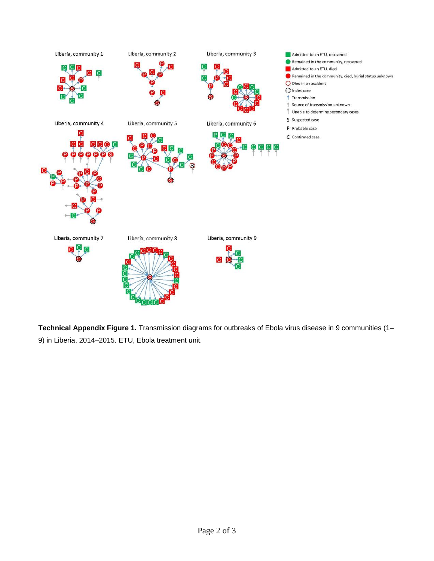

**Technical Appendix Figure 1.** Transmission diagrams for outbreaks of Ebola virus disease in 9 communities (1– 9) in Liberia, 2014–2015. ETU, Ebola treatment unit.